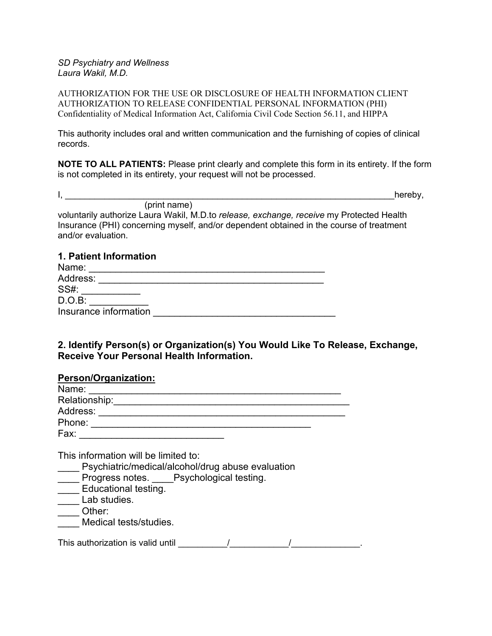### *SD Psychiatry and Wellness Laura Wakil, M.D.*

AUTHORIZATION FOR THE USE OR DISCLOSURE OF HEALTH INFORMATION CLIENT AUTHORIZATION TO RELEASE CONFIDENTIAL PERSONAL INFORMATION (PHI) Confidentiality of Medical Information Act, California Civil Code Section 56.11, and HIPPA

This authority includes oral and written communication and the furnishing of copies of clinical records.

**NOTE TO ALL PATIENTS:** Please print clearly and complete this form in its entirety. If the form is not completed in its entirety, your request will not be processed.

 $I,$ 

(print name) voluntarily authorize Laura Wakil, M.D.to *release, exchange, receive* my Protected Health Insurance (PHI) concerning myself, and/or dependent obtained in the course of treatment and/or evaluation.

# **1. Patient Information**

| Name:                 |  |
|-----------------------|--|
| Address:              |  |
| <b>SS#:</b>           |  |
| $D.O.B$ :             |  |
| Insurance information |  |

# **2. Identify Person(s) or Organization(s) You Would Like To Release, Exchange, Receive Your Personal Health Information.**

## **Person/Organization:**

| Name:         |  |
|---------------|--|
| Relationship: |  |
| Address:      |  |
| Phone:        |  |
| Fax:          |  |

This information will be limited to:

Psychiatric/medical/alcohol/drug abuse evaluation

- \_\_\_\_ Progress notes. \_\_\_\_Psychological testing.
- Educational testing.
- \_\_\_\_ Lab studies.
- \_\_\_\_ Other:
- Medical tests/studies.

| This authorization is valid until |  |  |
|-----------------------------------|--|--|
|                                   |  |  |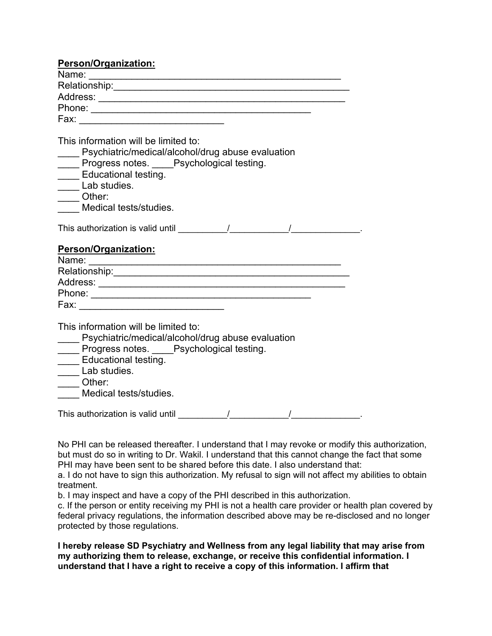| <b>Person/Organization:</b>                                                                                                                                                                                                                     |
|-------------------------------------------------------------------------------------------------------------------------------------------------------------------------------------------------------------------------------------------------|
| Name: <u>Name:</u> Name: Name: Name: Name: Name: Name: Name: Name: Name: Name: Name: Name: Name: Name: Name: Name: Name: Name: Name: Name: Name: Name: Name: Name: Name: Name: Name: Name: Name: Name: Name: Name: Name: Name: Name             |
|                                                                                                                                                                                                                                                 |
|                                                                                                                                                                                                                                                 |
|                                                                                                                                                                                                                                                 |
|                                                                                                                                                                                                                                                 |
| This information will be limited to:<br>Psychiatric/medical/alcohol/drug abuse evaluation<br>Progress notes. Psychological testing.<br><b>Educational testing.</b><br>Lab studies.<br>$\overline{\phantom{a}}$ Other:<br>Medical tests/studies. |
|                                                                                                                                                                                                                                                 |
| <b>Person/Organization:</b>                                                                                                                                                                                                                     |
| This information will be limited to:<br>Psychiatric/medical/alcohol/drug abuse evaluation<br>Progress notes. Psychological testing.<br>____ Educational testing.<br>Lab studies.<br>Other:<br>Medical tests/studies.                            |
| This authorization is valid until the matrix of the matrix of the matrix of the matrix of the matrix of the matrix of the matrix of the matrix of the matrix of the matrix of the matrix of the matrix of the matrix of the ma                  |

No PHI can be released thereafter. I understand that I may revoke or modify this authorization, but must do so in writing to Dr. Wakil. I understand that this cannot change the fact that some PHI may have been sent to be shared before this date. I also understand that:

a. I do not have to sign this authorization. My refusal to sign will not affect my abilities to obtain treatment.

b. I may inspect and have a copy of the PHI described in this authorization.

c. If the person or entity receiving my PHI is not a health care provider or health plan covered by federal privacy regulations, the information described above may be re-disclosed and no longer protected by those regulations.

**I hereby release SD Psychiatry and Wellness from any legal liability that may arise from my authorizing them to release, exchange, or receive this confidential information. I understand that I have a right to receive a copy of this information. I affirm that**